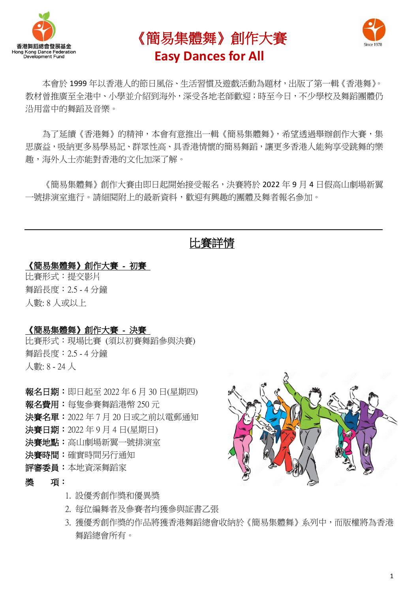





本會於 1999 年以香港人的節日風俗、生活習慣及遊戲活動為題材,出版了第一輯《香港舞》。 教材曾推廣至全港中、小學並介紹到海外,深受各地老師歡迎;時至今日,不少學校及舞蹈團體仍 沿用當中的舞蹈及音樂。

為了延續《香港舞》的精神,本會有意推出一輯《簡易集體舞》,希望诱過舉辦創作大賽,集 思廣益,吸納更多易學易記、群眾性高、具香港情懷的簡易舞蹈,讓更多香港人能夠享受跳舞的樂 趣,海外人士亦能對香港的文化加深了解。

《簡易集體舞》創作大賽由即日起開始接受報名,決賽將於 2022 年 9 月 4 日假高山劇場新翼 一號排演室推行。請細關附上的最新資料,歡迎有興趣的團體及舞者報名參加。

## 比賽詳情

#### 《簡易集體舞》創作大賽 - 初賽

比賽形式:提交影片 舞蹈長度:2.5 - 4 分鐘 人數: 8 人或以上

#### 《簡易集體舞》創作大賽 - 決賽

比賽形式:現場比賽 (須以初賽舞蹈參與決賽) 舞蹈長度:2.5 - 4 分鐘 人數: 8 - 24 人

- 報名日期:即日起至 2022 年 6 月 30 日(星期四)
- 報名費用:每隻參賽舞蹈港幣 250 元
- 決賽名單:2022 年 7 月 20 日或之前以電郵通知
- 決賽日期:2022 年 9 月 4 日(星期日)
- 決賽地點:高山劇場新翼一號排演室
- 決賽時間:確實時間另行通知
- 評審委員:本地資深舞蹈家
- 獎 項:
	- 1. 設優秀創作獎和優異獎
	- 2. 每位編舞者及參賽者均獲參與証書乙張
	- 3. 獲優秀創作獎的作品將獲香港舞蹈總會收納於《簡易集體舞》系列中,而版權將為香港 舞蹈總會所有。

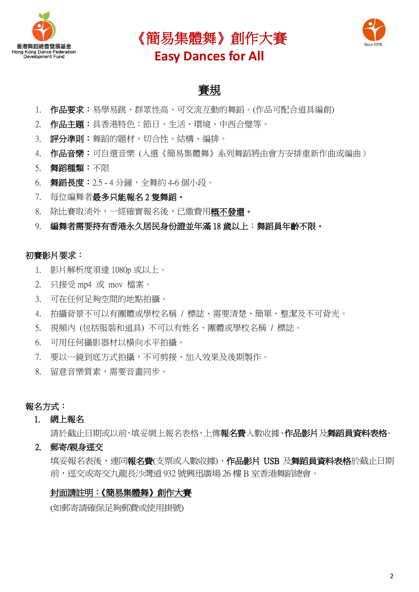





# 賽規

- 1. 作品要求:易學易跳、群眾性高、可交流互動的舞蹈。(作品可配合道具編創)
- 2. 作品主題:具香港特色:節日、生活、環境、中西合璧等。
- 3. 評分準則:舞蹈的題材、切合性、結構、編排。
- 4. 作品音樂:可自選音樂(入選《簡易集體舞》系列舞蹈將由會方安排重新作曲或編曲)
- 5. 舞蹈種類:不限
- 6. 舞蹈長度: 2.5 4 分鐘, 全舞約 4-6 個小段。
- 7. 每位編舞者最多只能報名 2 隻舞蹈。
- 8. 除比賽取消外,一經確實報名後,已繳費用概不發還。
- 9. 編舞者需要持有香港永久居民身份證並年滿 18 歲以上;舞蹈員年齡不限。

#### 初賽影片要求:

- 1. 影片解析度須達 1080p 或以上。
- 2. 只接受 mp4 或 mov 檔案。
- 3. 可在任何足夠空間的地點拍攝。
- 4. 拍攝背景不可以有團體或學校名稱 / 標誌、需要清楚、簡單、整潔及不可背光。
- 5. 視頻內 (包括服裝和道具) 不可以有姓名、團體或學校名稱 / 標誌。
- 6. 可用任何攝影器材以橫向水平拍攝。
- 7. 要以一鏡到底方式拍攝,不可剪接、加入效果及後期製作。
- 8. 留意音樂質素,需要音畫同步。

#### 報名方式:

#### 1. 網上報名

請於截止日期或以前,填妥網上報名表格,上傳報名費入數收據、作品影片及舞蹈員資料表格。

2. 郵寄/親身逕交

填妥報名表後,連同報名費(支票或入數收據)、作品影片 USB 及舞蹈員資料表格於截止日期 前,逕交或寄交九龍長沙灣道 932 號興迅廣場 26 樓B 室香港舞蹈總會。

#### 封面請註明:《簡易集體舞》創作大賽

(如郵寄請確保足夠郵費或使用掛號)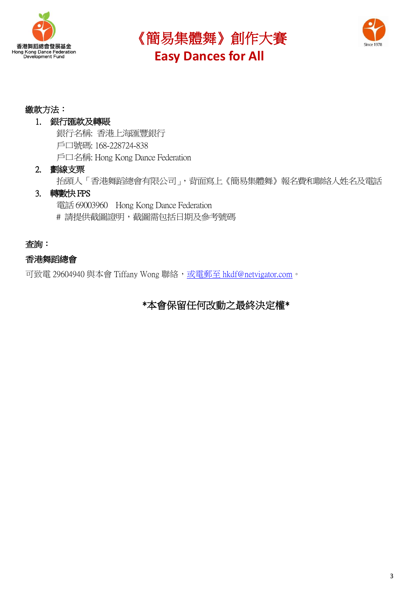





#### 繳款方法:

#### 1. 銀行匯款及轉賬

銀行名稱: 香港上海匯豐銀行 戶口號碼: 168-228724-838 戶口名稱: Hong Kong Dance Federation

#### 2. 劃線支票

抬頭人「香港舞蹈總會有限公司」,背面寫上《簡易集體舞》報名費和聯絡人姓名及電話

#### 3. 轉數快FPS

電話69003960 Hong Kong Dance Federation # 請提供截圖證明,截圖需包括日期及參考號碼

#### 查詢:

#### 香港舞蹈總會

可致電 29604940 與本會 Tiffany Wong 聯絡,或電郵至 [hkdf@netvigator.com](mailto:或電郵至hkdf@netvigator.com)。

### \*本會保留任何改動之最終決定權\*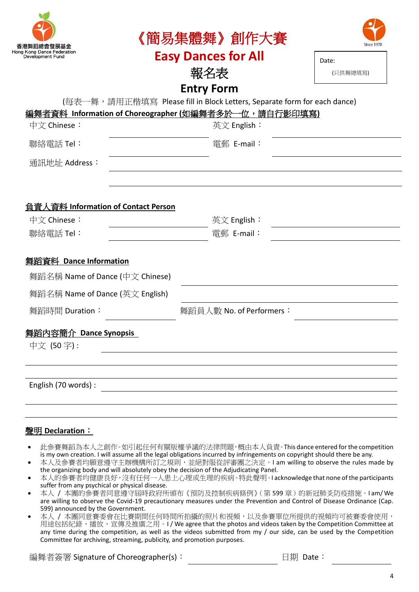| 香港舞蹈總會發展基金<br>Hong Kong Dance Federation<br>Development Fund                                  | 《簡易集體舞》創作大賽                       | Since 1978        |  |  |  |  |  |  |
|-----------------------------------------------------------------------------------------------|-----------------------------------|-------------------|--|--|--|--|--|--|
|                                                                                               | <b>Easy Dances for All</b><br>報名表 | Date:<br>(只供舞總填寫) |  |  |  |  |  |  |
|                                                                                               |                                   |                   |  |  |  |  |  |  |
| <b>Entry Form</b><br>(每表一舞,請用正楷填寫 Please fill in Block Letters, Separate form for each dance) |                                   |                   |  |  |  |  |  |  |
| <u>編舞者資料 Information of Choreographer (如編舞者多於一位,請自行影印填寫)</u>                                  |                                   |                   |  |  |  |  |  |  |
| 中文 Chinese:                                                                                   | 英文 English∶                       |                   |  |  |  |  |  |  |
| 聯絡電話 Tel:                                                                                     | 電郵 E-mail:                        |                   |  |  |  |  |  |  |
| 通訊地址 Address:                                                                                 |                                   |                   |  |  |  |  |  |  |
|                                                                                               |                                   |                   |  |  |  |  |  |  |
|                                                                                               |                                   |                   |  |  |  |  |  |  |
| 負責人資料 Information of Contact Person                                                           |                                   |                   |  |  |  |  |  |  |
| 中文 Chinese:                                                                                   | 英文 English∶                       |                   |  |  |  |  |  |  |
| 聯絡電話 Tel:                                                                                     | 電郵 E-mail:                        |                   |  |  |  |  |  |  |
|                                                                                               |                                   |                   |  |  |  |  |  |  |
| 舞蹈資料 Dance Information                                                                        |                                   |                   |  |  |  |  |  |  |
| 舞蹈名稱 Name of Dance (中文 Chinese)                                                               |                                   |                   |  |  |  |  |  |  |
| 舞蹈名稱 Name of Dance (英文 English)                                                               |                                   |                   |  |  |  |  |  |  |
| 舞蹈時間 Duration:                                                                                | 舞蹈員人數 No. of Performers:          |                   |  |  |  |  |  |  |
| <u>舞蹈内容簡介 Dance Synopsis</u>                                                                  |                                   |                   |  |  |  |  |  |  |
| 中文 (50字):                                                                                     |                                   |                   |  |  |  |  |  |  |
|                                                                                               |                                   |                   |  |  |  |  |  |  |
|                                                                                               |                                   |                   |  |  |  |  |  |  |
| English (70 words):                                                                           |                                   |                   |  |  |  |  |  |  |
|                                                                                               |                                   |                   |  |  |  |  |  |  |

#### 聲明 **Declaration**:

- 此參賽舞蹈為本人之創作。如引起任何有關版權爭議的法律問題,概由本人負責。This dance entered for the competition is my own creation. I will assume all the legal obligations incurred by infringements on copyright should there be any.
- 本人及參賽者均願意遵守主辦機構所訂之規則,並絕對服從評審團之決定。I am willing to observe the rules made by the organizing body and will absolutely obey the decision of the Adjudicating Panel.
- 本人的參賽者均健康良好,沒有任何一人患上心理或生理的疾病。特此聲明。I acknowledge that none of the participants suffer from any psychical or physical disease.
- 本人 / 本團的參賽者同意遵守屆時政府所頒布《預防及控制疾病條例》(第 599 章)的新冠肺炎防疫措施。I am/ We are willing to observe the Covid-19 precautionary measures under the Prevention and Control of Disease Ordinance (Cap. 599) announced by the Government.
- 本人 / 本團同意賽委會在比賽期間任何時間所拍攝的照片和視頻,以及參賽單位所提供的視頻均可被賽委會使用, 用途包括紀錄、播放、宣傳及推廣之用。I / We agree that the photos and videos taken by the Competition Committee at any time during the competition, as well as the videos submitted from my / our side, can be used by the Competition Committee for archiving, streaming, publicity, and promotion purposes.

編舞者簽署 Signature of Choreographer(s): 日期 Date: